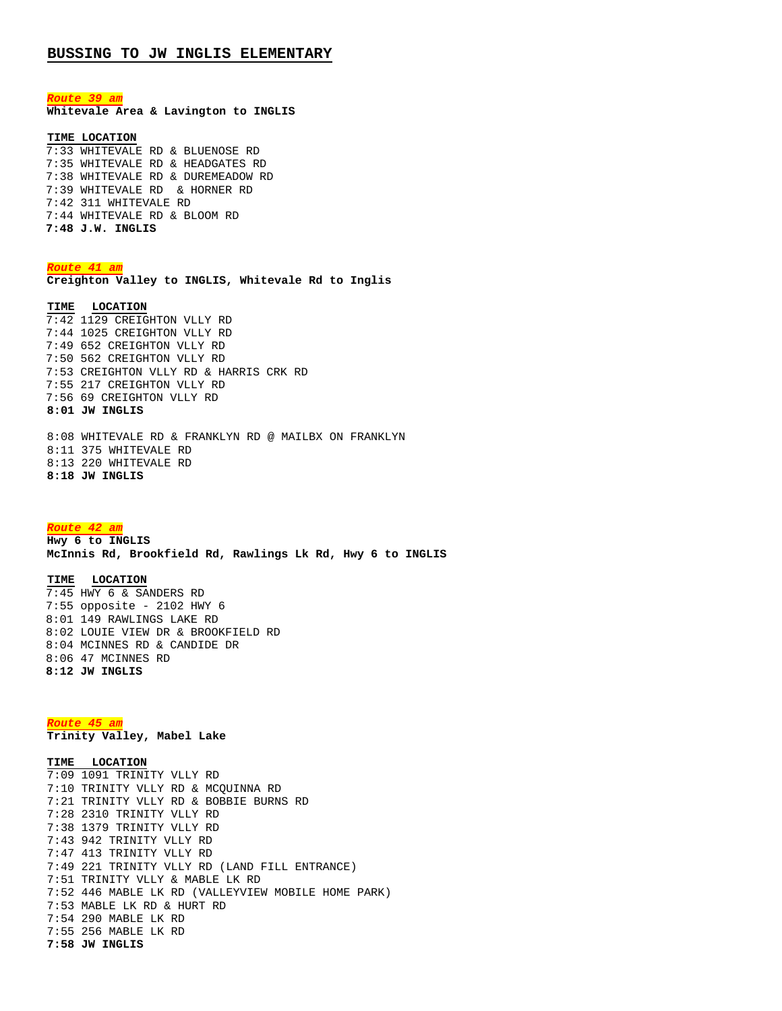*Route 39 am* **Whitevale Area & Lavington to INGLIS**

## **TIME LOCATION**

7:33 WHITEVALE RD & BLUENOSE RD 7:35 WHITEVALE RD & HEADGATES RD 7:38 WHITEVALE RD & DUREMEADOW RD 7:39 WHITEVALE RD & HORNER RD 7:42 311 WHITEVALE RD 7:44 WHITEVALE RD & BLOOM RD **7:48 J.W. INGLIS**

*Route 41 am* **Creighton Valley to INGLIS, Whitevale Rd to Inglis**

**TIME LOCATION** 7:42 1129 CREIGHTON VLLY RD 7:44 1025 CREIGHTON VLLY RD 7:49 652 CREIGHTON VLLY RD 7:50 562 CREIGHTON VLLY RD 7:53 CREIGHTON VLLY RD & HARRIS CRK RD 7:55 217 CREIGHTON VLLY RD 7:56 69 CREIGHTON VLLY RD **8:01 JW INGLIS**

8:08 WHITEVALE RD & FRANKLYN RD @ MAILBX ON FRANKLYN 8:11 375 WHITEVALE RD 8:13 220 WHITEVALE RD **8:18 JW INGLIS**

## *Route 42 am*

**Hwy 6 to INGLIS McInnis Rd, Brookfield Rd, Rawlings Lk Rd, Hwy 6 to INGLIS**

## **TIME LOCATION**

7:45 HWY 6 & SANDERS RD 7:55 opposite - 2102 HWY 6 8:01 149 RAWLINGS LAKE RD 8:02 LOUIE VIEW DR & BROOKFIELD RD 8:04 MCINNES RD & CANDIDE DR 8:06 47 MCINNES RD **8:12 JW INGLIS**

*Route 45 am*

**Trinity Valley, Mabel Lake**

**TIME LOCATION** 7:09 1091 TRINITY VLLY RD 7:10 TRINITY VLLY RD & MCQUINNA RD 7:21 TRINITY VLLY RD & BOBBIE BURNS RD 7:28 2310 TRINITY VLLY RD 7:38 1379 TRINITY VLLY RD 7:43 942 TRINITY VLLY RD 7:47 413 TRINITY VLLY RD 7:49 221 TRINITY VLLY RD (LAND FILL ENTRANCE) 7:51 TRINITY VLLY & MABLE LK RD 7:52 446 MABLE LK RD (VALLEYVIEW MOBILE HOME PARK) 7:53 MABLE LK RD & HURT RD 7:54 290 MABLE LK RD 7:55 256 MABLE LK RD **7:58 JW INGLIS**